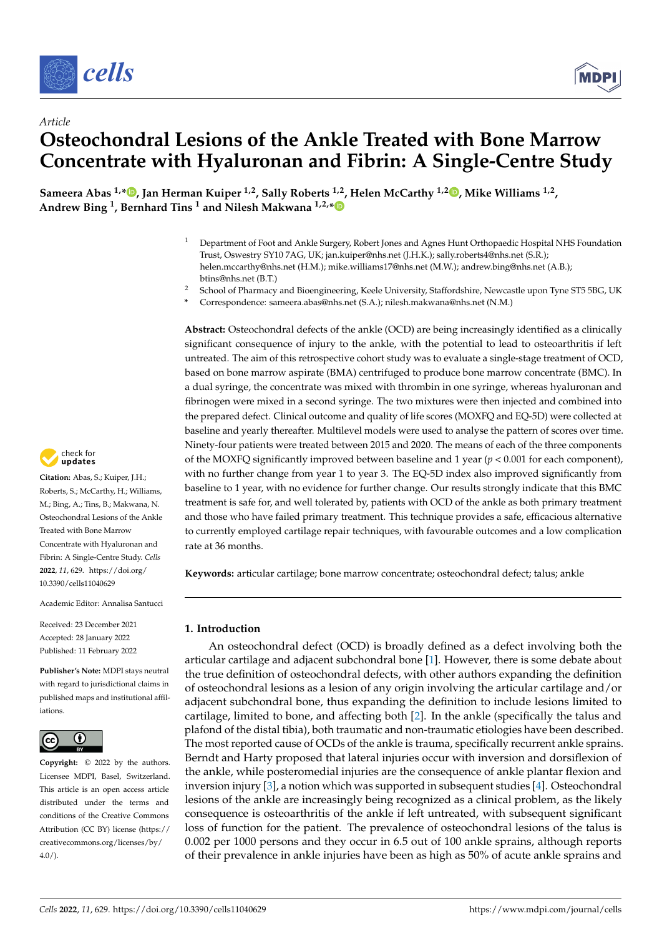



# *Article* **Osteochondral Lesions of the Ankle Treated with Bone Marrow Concentrate with Hyaluronan and Fibrin: A Single-Centre Study**

**Sameera Abas 1,\* [,](https://orcid.org/0000-0003-0737-8818) Jan Herman Kuiper 1,2, Sally Roberts 1,2, Helen McCarthy 1,2 [,](https://orcid.org/0000-0001-9534-7565) Mike Williams 1,2 , Andrew Bing <sup>1</sup> , Bernhard Tins <sup>1</sup> and Nilesh Makwana 1,2,[\\*](https://orcid.org/0000-0003-0459-2405)**

- <sup>1</sup> Department of Foot and Ankle Surgery, Robert Jones and Agnes Hunt Orthopaedic Hospital NHS Foundation Trust, Oswestry SY10 7AG, UK; jan.kuiper@nhs.net (J.H.K.); sally.roberts4@nhs.net (S.R.); helen.mccarthy@nhs.net (H.M.); mike.williams17@nhs.net (M.W.); andrew.bing@nhs.net (A.B.); btins@nhs.net (B.T.)
- <sup>2</sup> School of Pharmacy and Bioengineering, Keele University, Staffordshire, Newcastle upon Tyne ST5 5BG, UK
- **\*** Correspondence: sameera.abas@nhs.net (S.A.); nilesh.makwana@nhs.net (N.M.)

**Abstract:** Osteochondral defects of the ankle (OCD) are being increasingly identified as a clinically significant consequence of injury to the ankle, with the potential to lead to osteoarthritis if left untreated. The aim of this retrospective cohort study was to evaluate a single-stage treatment of OCD, based on bone marrow aspirate (BMA) centrifuged to produce bone marrow concentrate (BMC). In a dual syringe, the concentrate was mixed with thrombin in one syringe, whereas hyaluronan and fibrinogen were mixed in a second syringe. The two mixtures were then injected and combined into the prepared defect. Clinical outcome and quality of life scores (MOXFQ and EQ-5D) were collected at baseline and yearly thereafter. Multilevel models were used to analyse the pattern of scores over time. Ninety-four patients were treated between 2015 and 2020. The means of each of the three components of the MOXFQ significantly improved between baseline and 1 year ( $p < 0.001$  for each component), with no further change from year 1 to year 3. The EQ-5D index also improved significantly from baseline to 1 year, with no evidence for further change. Our results strongly indicate that this BMC treatment is safe for, and well tolerated by, patients with OCD of the ankle as both primary treatment and those who have failed primary treatment. This technique provides a safe, efficacious alternative to currently employed cartilage repair techniques, with favourable outcomes and a low complication rate at 36 months.

**Keywords:** articular cartilage; bone marrow concentrate; osteochondral defect; talus; ankle

## **1. Introduction**

An osteochondral defect (OCD) is broadly defined as a defect involving both the articular cartilage and adjacent subchondral bone [\[1\]](#page-14-0). However, there is some debate about the true definition of osteochondral defects, with other authors expanding the definition of osteochondral lesions as a lesion of any origin involving the articular cartilage and/or adjacent subchondral bone, thus expanding the definition to include lesions limited to cartilage, limited to bone, and affecting both [\[2\]](#page-14-1). In the ankle (specifically the talus and plafond of the distal tibia), both traumatic and non-traumatic etiologies have been described. The most reported cause of OCDs of the ankle is trauma, specifically recurrent ankle sprains. Berndt and Harty proposed that lateral injuries occur with inversion and dorsiflexion of the ankle, while posteromedial injuries are the consequence of ankle plantar flexion and inversion injury [\[3\]](#page-14-2), a notion which was supported in subsequent studies [\[4\]](#page-14-3). Osteochondral lesions of the ankle are increasingly being recognized as a clinical problem, as the likely consequence is osteoarthritis of the ankle if left untreated, with subsequent significant loss of function for the patient. The prevalence of osteochondral lesions of the talus is 0.002 per 1000 persons and they occur in 6.5 out of 100 ankle sprains, although reports of their prevalence in ankle injuries have been as high as 50% of acute ankle sprains and



**Citation:** Abas, S.; Kuiper, J.H.; Roberts, S.; McCarthy, H.; Williams, M.; Bing, A.; Tins, B.; Makwana, N. Osteochondral Lesions of the Ankle Treated with Bone Marrow Concentrate with Hyaluronan and Fibrin: A Single-Centre Study. *Cells* **2022**, *11*, 629. [https://doi.org/](https://doi.org/10.3390/cells11040629) [10.3390/cells11040629](https://doi.org/10.3390/cells11040629)

Academic Editor: Annalisa Santucci

Received: 23 December 2021 Accepted: 28 January 2022 Published: 11 February 2022

**Publisher's Note:** MDPI stays neutral with regard to jurisdictional claims in published maps and institutional affiliations.



**Copyright:** © 2022 by the authors. Licensee MDPI, Basel, Switzerland. This article is an open access article distributed under the terms and conditions of the Creative Commons Attribution (CC BY) license [\(https://](https://creativecommons.org/licenses/by/4.0/) [creativecommons.org/licenses/by/](https://creativecommons.org/licenses/by/4.0/)  $4.0/$ ).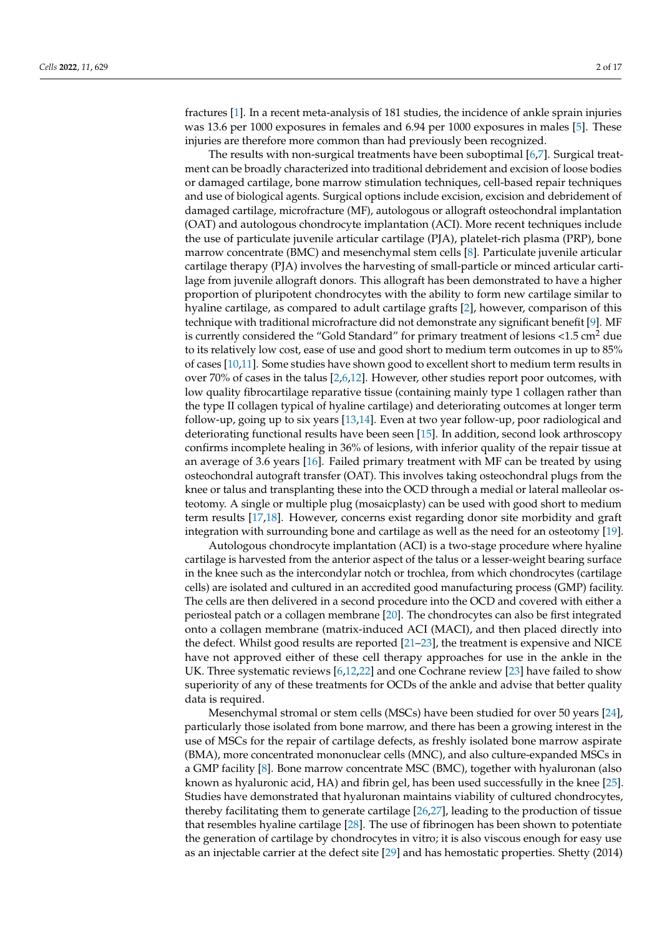fractures [\[1\]](#page-14-0). In a recent meta-analysis of 181 studies, the incidence of ankle sprain injuries was 13.6 per 1000 exposures in females and 6.94 per 1000 exposures in males [\[5\]](#page-14-4). These injuries are therefore more common than had previously been recognized.

The results with non-surgical treatments have been suboptimal [\[6](#page-14-5)[,7\]](#page-14-6). Surgical treatment can be broadly characterized into traditional debridement and excision of loose bodies or damaged cartilage, bone marrow stimulation techniques, cell-based repair techniques and use of biological agents. Surgical options include excision, excision and debridement of damaged cartilage, microfracture (MF), autologous or allograft osteochondral implantation (OAT) and autologous chondrocyte implantation (ACI). More recent techniques include the use of particulate juvenile articular cartilage (PJA), platelet-rich plasma (PRP), bone marrow concentrate (BMC) and mesenchymal stem cells [\[8\]](#page-14-7). Particulate juvenile articular cartilage therapy (PJA) involves the harvesting of small-particle or minced articular cartilage from juvenile allograft donors. This allograft has been demonstrated to have a higher proportion of pluripotent chondrocytes with the ability to form new cartilage similar to hyaline cartilage, as compared to adult cartilage grafts [\[2\]](#page-14-1), however, comparison of this technique with traditional microfracture did not demonstrate any significant benefit [\[9\]](#page-15-0). MF is currently considered the "Gold Standard" for primary treatment of lesions  $\langle 1.5 \text{ cm}^2 \rangle$  due to its relatively low cost, ease of use and good short to medium term outcomes in up to 85% of cases [\[10,](#page-15-1)[11\]](#page-15-2). Some studies have shown good to excellent short to medium term results in over 70% of cases in the talus [\[2](#page-14-1)[,6,](#page-14-5)[12\]](#page-15-3). However, other studies report poor outcomes, with low quality fibrocartilage reparative tissue (containing mainly type 1 collagen rather than the type II collagen typical of hyaline cartilage) and deteriorating outcomes at longer term follow-up, going up to six years [\[13,](#page-15-4)[14\]](#page-15-5). Even at two year follow-up, poor radiological and deteriorating functional results have been seen [\[15\]](#page-15-6). In addition, second look arthroscopy confirms incomplete healing in 36% of lesions, with inferior quality of the repair tissue at an average of 3.6 years [\[16\]](#page-15-7). Failed primary treatment with MF can be treated by using osteochondral autograft transfer (OAT). This involves taking osteochondral plugs from the knee or talus and transplanting these into the OCD through a medial or lateral malleolar osteotomy. A single or multiple plug (mosaicplasty) can be used with good short to medium term results [\[17](#page-15-8)[,18\]](#page-15-9). However, concerns exist regarding donor site morbidity and graft integration with surrounding bone and cartilage as well as the need for an osteotomy [\[19\]](#page-15-10).

Autologous chondrocyte implantation (ACI) is a two-stage procedure where hyaline cartilage is harvested from the anterior aspect of the talus or a lesser-weight bearing surface in the knee such as the intercondylar notch or trochlea, from which chondrocytes (cartilage cells) are isolated and cultured in an accredited good manufacturing process (GMP) facility. The cells are then delivered in a second procedure into the OCD and covered with either a periosteal patch or a collagen membrane [\[20\]](#page-15-11). The chondrocytes can also be first integrated onto a collagen membrane (matrix-induced ACI (MACI), and then placed directly into the defect. Whilst good results are reported [\[21–](#page-15-12)[23\]](#page-15-13), the treatment is expensive and NICE have not approved either of these cell therapy approaches for use in the ankle in the UK. Three systematic reviews [\[6](#page-14-5)[,12,](#page-15-3)[22\]](#page-15-14) and one Cochrane review [\[23\]](#page-15-13) have failed to show superiority of any of these treatments for OCDs of the ankle and advise that better quality data is required.

Mesenchymal stromal or stem cells (MSCs) have been studied for over 50 years [\[24\]](#page-15-15), particularly those isolated from bone marrow, and there has been a growing interest in the use of MSCs for the repair of cartilage defects, as freshly isolated bone marrow aspirate (BMA), more concentrated mononuclear cells (MNC), and also culture-expanded MSCs in a GMP facility [\[8\]](#page-14-7). Bone marrow concentrate MSC (BMC), together with hyaluronan (also known as hyaluronic acid, HA) and fibrin gel, has been used successfully in the knee [\[25\]](#page-15-16). Studies have demonstrated that hyaluronan maintains viability of cultured chondrocytes, thereby facilitating them to generate cartilage [\[26,](#page-15-17)[27\]](#page-15-18), leading to the production of tissue that resembles hyaline cartilage [\[28\]](#page-15-19). The use of fibrinogen has been shown to potentiate the generation of cartilage by chondrocytes in vitro; it is also viscous enough for easy use as an injectable carrier at the defect site [\[29\]](#page-15-20) and has hemostatic properties. Shetty (2014)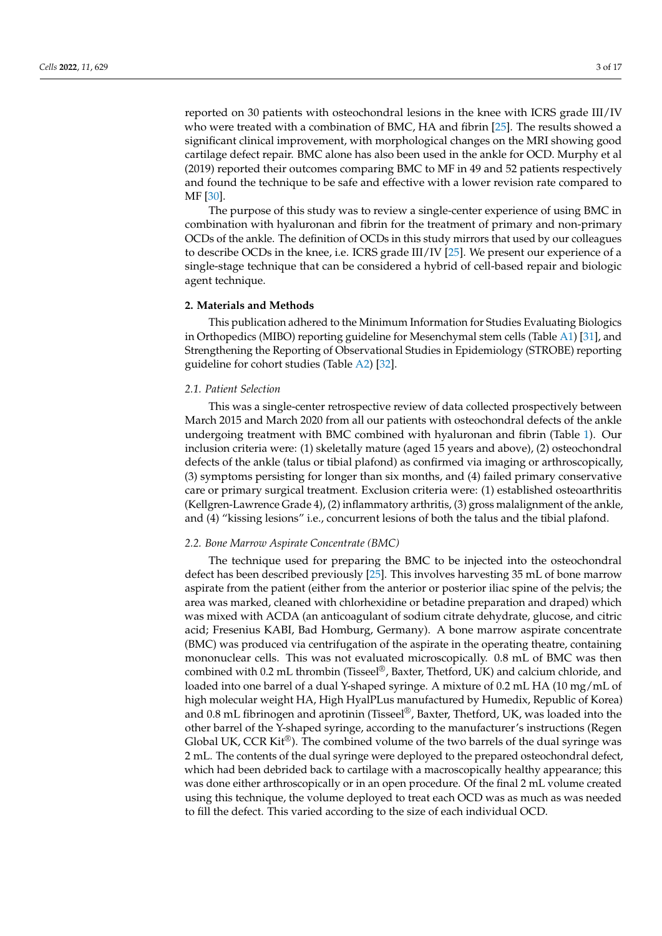reported on 30 patients with osteochondral lesions in the knee with ICRS grade III/IV who were treated with a combination of BMC, HA and fibrin [\[25\]](#page-15-16). The results showed a significant clinical improvement, with morphological changes on the MRI showing good cartilage defect repair. BMC alone has also been used in the ankle for OCD. Murphy et al (2019) reported their outcomes comparing BMC to MF in 49 and 52 patients respectively and found the technique to be safe and effective with a lower revision rate compared to MF [\[30\]](#page-15-21).

The purpose of this study was to review a single-center experience of using BMC in combination with hyaluronan and fibrin for the treatment of primary and non-primary OCDs of the ankle. The definition of OCDs in this study mirrors that used by our colleagues to describe OCDs in the knee, i.e. ICRS grade III/IV [\[25\]](#page-15-16). We present our experience of a single-stage technique that can be considered a hybrid of cell-based repair and biologic agent technique.

#### **2. Materials and Methods**

This publication adhered to the Minimum Information for Studies Evaluating Biologics in Orthopedics (MIBO) reporting guideline for Mesenchymal stem cells (Table [A1\)](#page-12-0) [\[31\]](#page-15-22), and Strengthening the Reporting of Observational Studies in Epidemiology (STROBE) reporting guideline for cohort studies (Table [A2\)](#page-13-0) [\[32\]](#page-15-23).

## *2.1. Patient Selection*

This was a single-center retrospective review of data collected prospectively between March 2015 and March 2020 from all our patients with osteochondral defects of the ankle undergoing treatment with BMC combined with hyaluronan and fibrin (Table [1\)](#page-3-0). Our inclusion criteria were: (1) skeletally mature (aged 15 years and above), (2) osteochondral defects of the ankle (talus or tibial plafond) as confirmed via imaging or arthroscopically, (3) symptoms persisting for longer than six months, and (4) failed primary conservative care or primary surgical treatment. Exclusion criteria were: (1) established osteoarthritis (Kellgren-Lawrence Grade 4), (2) inflammatory arthritis, (3) gross malalignment of the ankle, and (4) "kissing lesions" i.e., concurrent lesions of both the talus and the tibial plafond.

## *2.2. Bone Marrow Aspirate Concentrate (BMC)*

The technique used for preparing the BMC to be injected into the osteochondral defect has been described previously [\[25\]](#page-15-16). This involves harvesting 35 mL of bone marrow aspirate from the patient (either from the anterior or posterior iliac spine of the pelvis; the area was marked, cleaned with chlorhexidine or betadine preparation and draped) which was mixed with ACDA (an anticoagulant of sodium citrate dehydrate, glucose, and citric acid; Fresenius KABI, Bad Homburg, Germany). A bone marrow aspirate concentrate (BMC) was produced via centrifugation of the aspirate in the operating theatre, containing mononuclear cells. This was not evaluated microscopically. 0.8 mL of BMC was then combined with 0.2 mL thrombin (Tisseel®, Baxter, Thetford, UK) and calcium chloride, and loaded into one barrel of a dual Y-shaped syringe. A mixture of 0.2 mL HA (10 mg/mL of high molecular weight HA, High HyalPLus manufactured by Humedix, Republic of Korea) and 0.8 mL fibrinogen and aprotinin (Tisseel<sup>®</sup>, Baxter, Thetford, UK, was loaded into the other barrel of the Y-shaped syringe, according to the manufacturer's instructions (Regen Global UK, CCR Kit<sup>®</sup>). The combined volume of the two barrels of the dual syringe was 2 mL. The contents of the dual syringe were deployed to the prepared osteochondral defect, which had been debrided back to cartilage with a macroscopically healthy appearance; this was done either arthroscopically or in an open procedure. Of the final 2 mL volume created using this technique, the volume deployed to treat each OCD was as much as was needed to fill the defect. This varied according to the size of each individual OCD.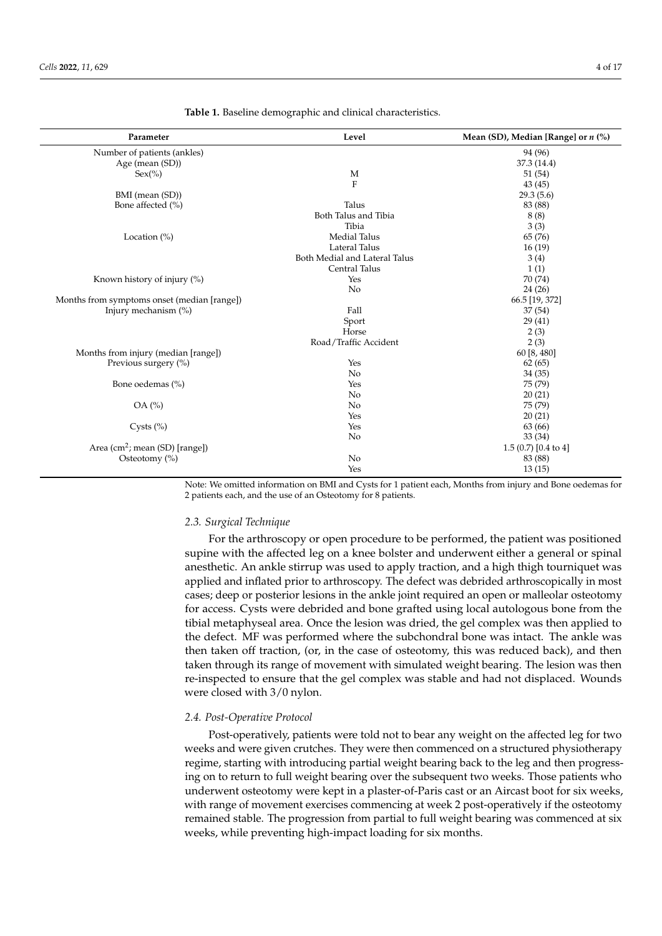| Parameter                                   | Level                         | Mean (SD), Median [Range] or $n$ (%) |
|---------------------------------------------|-------------------------------|--------------------------------------|
| Number of patients (ankles)                 |                               | 94 (96)                              |
| Age (mean (SD))                             |                               | 37.3 (14.4)                          |
| $Sex(\% )$                                  | M                             | 51(54)                               |
|                                             | $\mathbf F$                   | 43(45)                               |
| BMI (mean (SD))                             |                               | 29.3(5.6)                            |
| Bone affected (%)                           | Talus                         | 83 (88)                              |
|                                             | Both Talus and Tibia          | 8(8)                                 |
|                                             | Tibia                         | 3(3)                                 |
| Location $(\%)$                             | <b>Medial Talus</b>           | 65 (76)                              |
|                                             | Lateral Talus                 | 16(19)                               |
|                                             | Both Medial and Lateral Talus | 3(4)                                 |
|                                             | Central Talus                 | 1(1)                                 |
| Known history of injury (%)                 | Yes                           | 70 (74)                              |
|                                             | N <sub>o</sub>                | 24(26)                               |
| Months from symptoms onset (median [range]) |                               | 66.5 [19, 372]                       |
| Injury mechanism (%)                        | Fall                          | 37(54)                               |
|                                             | Sport                         | 29(41)                               |
|                                             | Horse                         | 2(3)                                 |
|                                             | Road/Traffic Accident         | 2(3)                                 |
| Months from injury (median [range])         |                               | 60 [8, 480]                          |
| Previous surgery (%)                        | Yes                           | 62(65)                               |
|                                             | No                            | 34(35)                               |
| Bone oedemas (%)                            | Yes                           | 75 (79)                              |
|                                             | No                            | 20(21)                               |
| OA (%)                                      | No                            | 75 (79)                              |
|                                             | Yes                           | 20(21)                               |
| Cysts $(\% )$                               | Yes                           | 63 (66)                              |
|                                             | No                            | 33 (34)                              |
| Area (cm <sup>2</sup> ; mean (SD) [range])  |                               | $1.5(0.7)[0.4 \text{ to } 4]$        |
| Osteotomy (%)                               | N <sub>o</sub>                | 83 (88)                              |
|                                             | Yes                           | 13(15)                               |

<span id="page-3-0"></span>**Table 1.** Baseline demographic and clinical characteristics.

Note: We omitted information on BMI and Cysts for 1 patient each, Months from injury and Bone oedemas for 2 patients each, and the use of an Osteotomy for 8 patients.

## *2.3. Surgical Technique*

For the arthroscopy or open procedure to be performed, the patient was positioned supine with the affected leg on a knee bolster and underwent either a general or spinal anesthetic. An ankle stirrup was used to apply traction, and a high thigh tourniquet was applied and inflated prior to arthroscopy. The defect was debrided arthroscopically in most cases; deep or posterior lesions in the ankle joint required an open or malleolar osteotomy for access. Cysts were debrided and bone grafted using local autologous bone from the tibial metaphyseal area. Once the lesion was dried, the gel complex was then applied to the defect. MF was performed where the subchondral bone was intact. The ankle was then taken off traction, (or, in the case of osteotomy, this was reduced back), and then taken through its range of movement with simulated weight bearing. The lesion was then re-inspected to ensure that the gel complex was stable and had not displaced. Wounds were closed with 3/0 nylon.

## *2.4. Post-Operative Protocol*

Post-operatively, patients were told not to bear any weight on the affected leg for two weeks and were given crutches. They were then commenced on a structured physiotherapy regime, starting with introducing partial weight bearing back to the leg and then progressing on to return to full weight bearing over the subsequent two weeks. Those patients who underwent osteotomy were kept in a plaster-of-Paris cast or an Aircast boot for six weeks, with range of movement exercises commencing at week 2 post-operatively if the osteotomy remained stable. The progression from partial to full weight bearing was commenced at six weeks, while preventing high-impact loading for six months.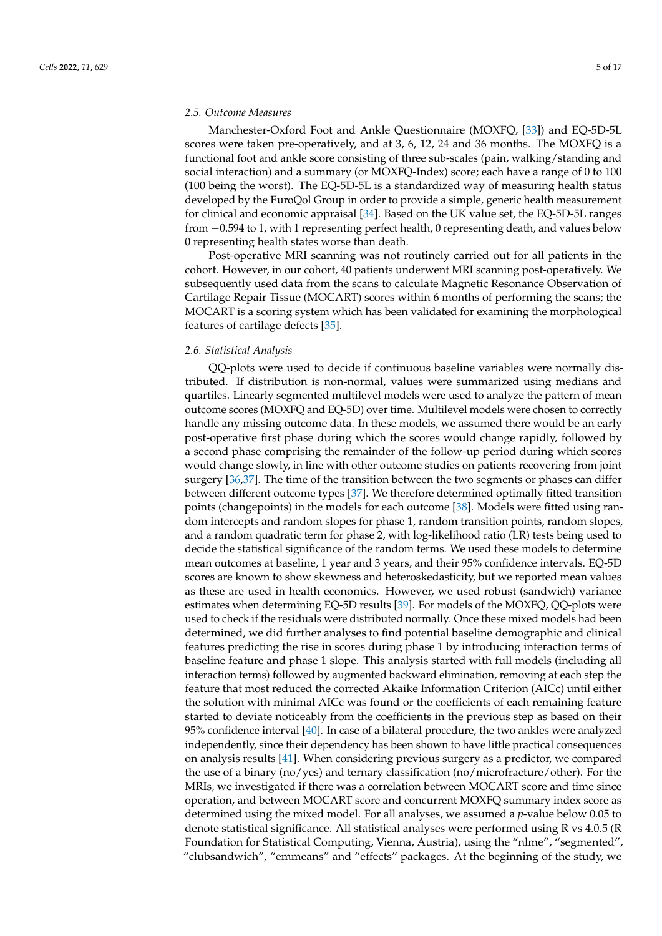## *2.5. Outcome Measures*

Manchester-Oxford Foot and Ankle Questionnaire (MOXFQ, [\[33\]](#page-15-24)) and EQ-5D-5L scores were taken pre-operatively, and at 3, 6, 12, 24 and 36 months. The MOXFQ is a functional foot and ankle score consisting of three sub-scales (pain, walking/standing and social interaction) and a summary (or MOXFQ-Index) score; each have a range of 0 to 100 (100 being the worst). The EQ-5D-5L is a standardized way of measuring health status developed by the EuroQol Group in order to provide a simple, generic health measurement for clinical and economic appraisal [\[34\]](#page-15-25). Based on the UK value set, the EQ-5D-5L ranges from −0.594 to 1, with 1 representing perfect health, 0 representing death, and values below 0 representing health states worse than death.

Post-operative MRI scanning was not routinely carried out for all patients in the cohort. However, in our cohort, 40 patients underwent MRI scanning post-operatively. We subsequently used data from the scans to calculate Magnetic Resonance Observation of Cartilage Repair Tissue (MOCART) scores within 6 months of performing the scans; the MOCART is a scoring system which has been validated for examining the morphological features of cartilage defects [\[35\]](#page-15-26).

## *2.6. Statistical Analysis*

QQ-plots were used to decide if continuous baseline variables were normally distributed. If distribution is non-normal, values were summarized using medians and quartiles. Linearly segmented multilevel models were used to analyze the pattern of mean outcome scores (MOXFQ and EQ-5D) over time. Multilevel models were chosen to correctly handle any missing outcome data. In these models, we assumed there would be an early post-operative first phase during which the scores would change rapidly, followed by a second phase comprising the remainder of the follow-up period during which scores would change slowly, in line with other outcome studies on patients recovering from joint surgery [\[36,](#page-16-0)[37\]](#page-16-1). The time of the transition between the two segments or phases can differ between different outcome types [\[37\]](#page-16-1). We therefore determined optimally fitted transition points (changepoints) in the models for each outcome [\[38\]](#page-16-2). Models were fitted using random intercepts and random slopes for phase 1, random transition points, random slopes, and a random quadratic term for phase 2, with log-likelihood ratio (LR) tests being used to decide the statistical significance of the random terms. We used these models to determine mean outcomes at baseline, 1 year and 3 years, and their 95% confidence intervals. EQ-5D scores are known to show skewness and heteroskedasticity, but we reported mean values as these are used in health economics. However, we used robust (sandwich) variance estimates when determining EQ-5D results [\[39\]](#page-16-3). For models of the MOXFQ, QQ-plots were used to check if the residuals were distributed normally. Once these mixed models had been determined, we did further analyses to find potential baseline demographic and clinical features predicting the rise in scores during phase 1 by introducing interaction terms of baseline feature and phase 1 slope. This analysis started with full models (including all interaction terms) followed by augmented backward elimination, removing at each step the feature that most reduced the corrected Akaike Information Criterion (AICc) until either the solution with minimal AICc was found or the coefficients of each remaining feature started to deviate noticeably from the coefficients in the previous step as based on their 95% confidence interval [\[40\]](#page-16-4). In case of a bilateral procedure, the two ankles were analyzed independently, since their dependency has been shown to have little practical consequences on analysis results [\[41\]](#page-16-5). When considering previous surgery as a predictor, we compared the use of a binary (no/yes) and ternary classification (no/microfracture/other). For the MRIs, we investigated if there was a correlation between MOCART score and time since operation, and between MOCART score and concurrent MOXFQ summary index score as determined using the mixed model. For all analyses, we assumed a *p*-value below 0.05 to denote statistical significance. All statistical analyses were performed using R vs 4.0.5 (R Foundation for Statistical Computing, Vienna, Austria), using the "nlme", "segmented", "clubsandwich", "emmeans" and "effects" packages. At the beginning of the study, we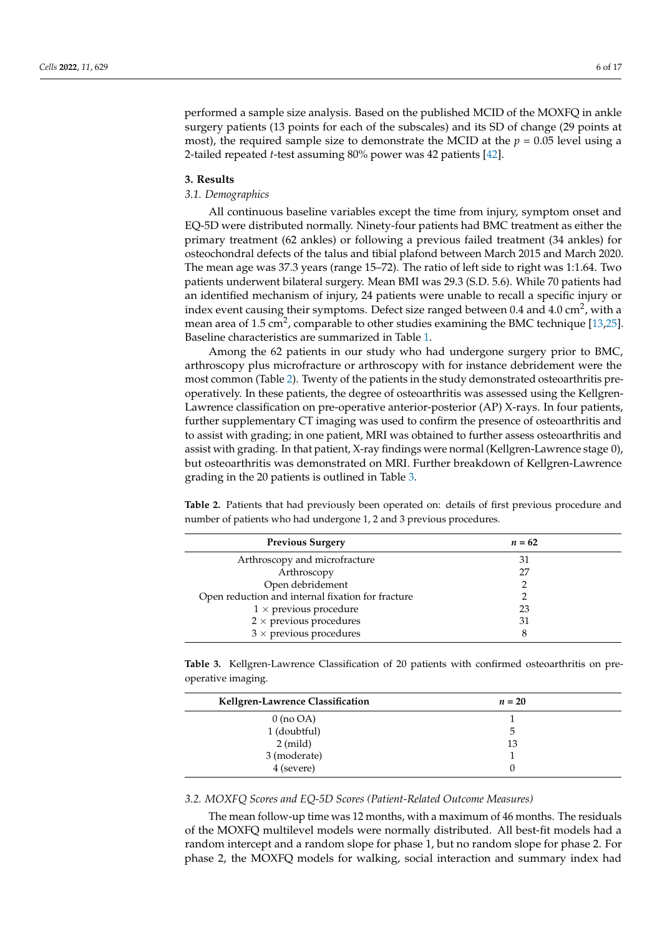performed a sample size analysis. Based on the published MCID of the MOXFQ in ankle surgery patients (13 points for each of the subscales) and its SD of change (29 points at most), the required sample size to demonstrate the MCID at the  $p = 0.05$  level using a 2-tailed repeated *t*-test assuming 80% power was 42 patients [\[42\]](#page-16-6).

## **3. Results**

## *3.1. Demographics*

All continuous baseline variables except the time from injury, symptom onset and EQ-5D were distributed normally. Ninety-four patients had BMC treatment as either the primary treatment (62 ankles) or following a previous failed treatment (34 ankles) for osteochondral defects of the talus and tibial plafond between March 2015 and March 2020. The mean age was 37.3 years (range 15–72). The ratio of left side to right was 1:1.64. Two patients underwent bilateral surgery. Mean BMI was 29.3 (S.D. 5.6). While 70 patients had an identified mechanism of injury, 24 patients were unable to recall a specific injury or index event causing their symptoms. Defect size ranged between 0.4 and 4.0 cm<sup>2</sup>, with a mean area of 1.5 cm<sup>2</sup>, comparable to other studies examining the BMC technique [\[13,](#page-15-4)[25\]](#page-15-16). Baseline characteristics are summarized in Table [1.](#page-3-0)

Among the 62 patients in our study who had undergone surgery prior to BMC, arthroscopy plus microfracture or arthroscopy with for instance debridement were the most common (Table [2\)](#page-5-0). Twenty of the patients in the study demonstrated osteoarthritis preoperatively. In these patients, the degree of osteoarthritis was assessed using the Kellgren-Lawrence classification on pre-operative anterior-posterior (AP) X-rays. In four patients, further supplementary CT imaging was used to confirm the presence of osteoarthritis and to assist with grading; in one patient, MRI was obtained to further assess osteoarthritis and assist with grading. In that patient, X-ray findings were normal (Kellgren-Lawrence stage 0), but osteoarthritis was demonstrated on MRI. Further breakdown of Kellgren-Lawrence grading in the 20 patients is outlined in Table [3.](#page-5-1)

<span id="page-5-0"></span>**Table 2.** Patients that had previously been operated on: details of first previous procedure and number of patients who had undergone 1, 2 and 3 previous procedures.

| <b>Previous Surgery</b>                           | $n = 62$ |
|---------------------------------------------------|----------|
| Arthroscopy and microfracture                     | 31       |
| Arthroscopy                                       | 27       |
| Open debridement                                  |          |
| Open reduction and internal fixation for fracture |          |
| $1 \times$ previous procedure                     | 23       |
| $2 \times$ previous procedures                    | 31       |
| $3 \times$ previous procedures                    |          |

<span id="page-5-1"></span>**Table 3.** Kellgren-Lawrence Classification of 20 patients with confirmed osteoarthritis on preoperative imaging.

| Kellgren-Lawrence Classification | $n=20$ |
|----------------------------------|--------|
| $0 \text{ (no OA)}$              |        |
| 1 (doubtful)                     | 5      |
| $2 \pmod{2}$                     | 13     |
| 3 (moderate)                     |        |
| 4 (severe)                       |        |

## *3.2. MOXFQ Scores and EQ-5D Scores (Patient-Related Outcome Measures)*

The mean follow-up time was 12 months, with a maximum of 46 months. The residuals of the MOXFQ multilevel models were normally distributed. All best-fit models had a random intercept and a random slope for phase 1, but no random slope for phase 2. For phase 2, the MOXFQ models for walking, social interaction and summary index had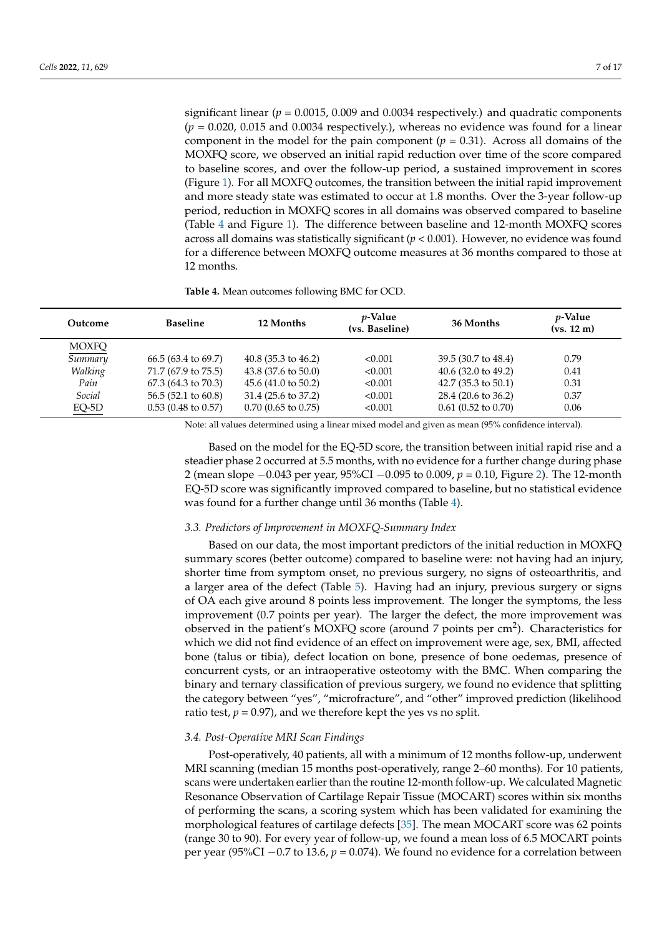significant linear ( $p = 0.0015$ , 0.009 and 0.0034 respectively.) and quadratic components  $(p = 0.020, 0.015,$  and  $0.0034$  respectively.), whereas no evidence was found for a linear component in the model for the pain component  $(p = 0.31)$ . Across all domains of the MOXFQ score, we observed an initial rapid reduction over time of the score compared to baseline scores, and over the follow-up period, a sustained improvement in scores (Figure [1\)](#page-7-0). For all MOXFQ outcomes, the transition between the initial rapid improvement and more steady state was estimated to occur at 1.8 months. Over the 3-year follow-up period, reduction in MOXFQ scores in all domains was observed compared to baseline (Table [4](#page-6-0) and Figure [1\)](#page-7-0). The difference between baseline and 12-month MOXFQ scores across all domains was statistically significant (*p* < 0.001). However, no evidence was found for a difference between MOXFQ outcome measures at 36 months compared to those at 12 months.

<span id="page-6-0"></span>**Table 4.** Mean outcomes following BMC for OCD.

| Outcome      | <b>Baseline</b>               | 12 Months                     | <i>p</i> -Value<br>(vs. Baseline) | 36 Months                      | <i>v</i> -Value<br>(vs. 12 m) |
|--------------|-------------------------------|-------------------------------|-----------------------------------|--------------------------------|-------------------------------|
| <b>MOXFQ</b> |                               |                               |                                   |                                |                               |
| Summary      | $66.5(63.4 \text{ to } 69.7)$ | $40.8(35.3 \text{ to } 46.2)$ | < 0.001                           | 39.5 (30.7 to 48.4)            | 0.79                          |
| Walking      | 71.7 (67.9 to 75.5)           | $43.8(37.6 \text{ to } 50.0)$ | < 0.001                           | 40.6 $(32.0 \text{ to } 49.2)$ | 0.41                          |
| Pain         | $67.3(64.3 \text{ to } 70.3)$ | $45.6(41.0 \text{ to } 50.2)$ | < 0.001                           | 42.7 $(35.3 \text{ to } 50.1)$ | 0.31                          |
| Social       | $56.5(52.1 \text{ to } 60.8)$ | $31.4(25.6 \text{ to } 37.2)$ | < 0.001                           | 28.4 (20.6 to 36.2)            | 0.37                          |
| $EO-5D$      | $0.53(0.48 \text{ to } 0.57)$ | $0.70$ (0.65 to 0.75)         | < 0.001                           | $0.61$ (0.52 to 0.70)          | 0.06                          |

Note: all values determined using a linear mixed model and given as mean (95% confidence interval).

Based on the model for the EQ-5D score, the transition between initial rapid rise and a steadier phase 2 occurred at 5.5 months, with no evidence for a further change during phase 2 (mean slope −0.043 per year, 95%CI −0.095 to 0.009, *p* = 0.10, Figure [2\)](#page-8-0). The 12-month EQ-5D score was significantly improved compared to baseline, but no statistical evidence was found for a further change until 36 months (Table [4\)](#page-6-0).

## *3.3. Predictors of Improvement in MOXFQ-Summary Index*

Based on our data, the most important predictors of the initial reduction in MOXFQ summary scores (better outcome) compared to baseline were: not having had an injury, shorter time from symptom onset, no previous surgery, no signs of osteoarthritis, and a larger area of the defect (Table [5\)](#page-8-1). Having had an injury, previous surgery or signs of OA each give around 8 points less improvement. The longer the symptoms, the less improvement (0.7 points per year). The larger the defect, the more improvement was observed in the patient's MOXFQ score (around 7 points per cm<sup>2</sup>). Characteristics for which we did not find evidence of an effect on improvement were age, sex, BMI, affected bone (talus or tibia), defect location on bone, presence of bone oedemas, presence of concurrent cysts, or an intraoperative osteotomy with the BMC. When comparing the binary and ternary classification of previous surgery, we found no evidence that splitting the category between "yes", "microfracture", and "other" improved prediction (likelihood ratio test,  $p = 0.97$ ), and we therefore kept the yes vs no split.

## *3.4. Post-Operative MRI Scan Findings*

Post-operatively, 40 patients, all with a minimum of 12 months follow-up, underwent MRI scanning (median 15 months post-operatively, range 2–60 months). For 10 patients, scans were undertaken earlier than the routine 12-month follow-up. We calculated Magnetic Resonance Observation of Cartilage Repair Tissue (MOCART) scores within six months of performing the scans, a scoring system which has been validated for examining the morphological features of cartilage defects [\[35\]](#page-15-26). The mean MOCART score was 62 points (range 30 to 90). For every year of follow-up, we found a mean loss of 6.5 MOCART points per year (95%CI −0.7 to 13.6, *p* = 0.074). We found no evidence for a correlation between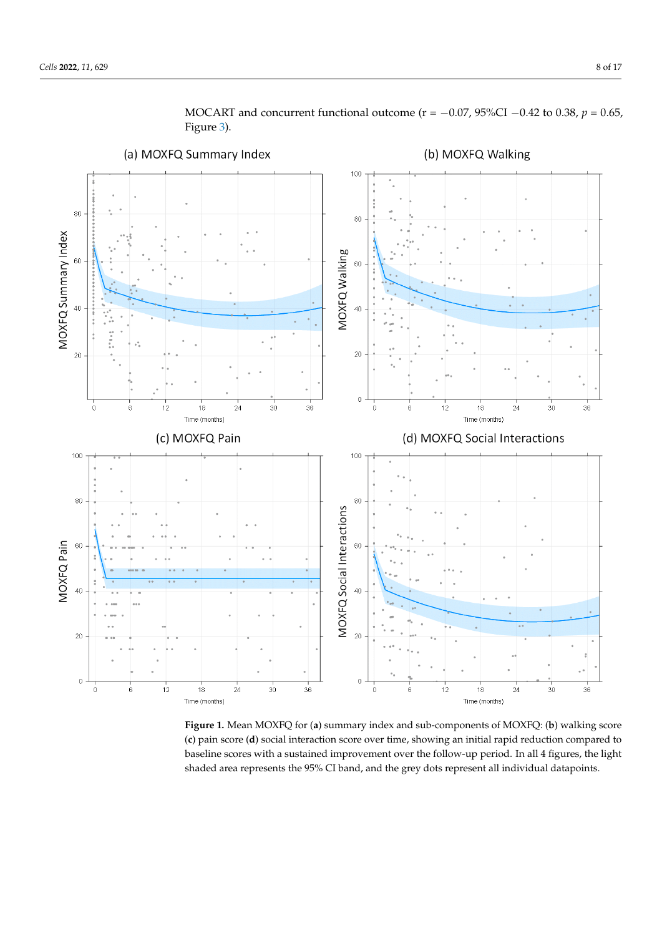<span id="page-7-0"></span>

MOCART and concurrent functional outcome ( $r = -0.07$ ,  $95\%$ CI  $-0.42$  to 0.38,  $p = 0.65$ , Figure [3\)](#page-9-0).

**Figure 1.** Mean MOXFQ for (**a**) summary index and sub-components of MOXFQ: (**b**) walking score **Figure 1.** Mean MOXFQ for (**a**) summary index and sub-components of MOXFQ: (**b**) walking score (c) pain score (d) social interaction score over time, showing an initial rapid reduction compared to baseline scores with a sustained improvement over the follow-up period. In all 4 figures, the light baseline scores with a sustained improvement over the follow-up period. In all 4 figures, the light shaded area represents the 95% CI band, and the grey dots represent all individual datapoints. shaded area represents the 95% CI band, and the grey dots represent all individual datapoints.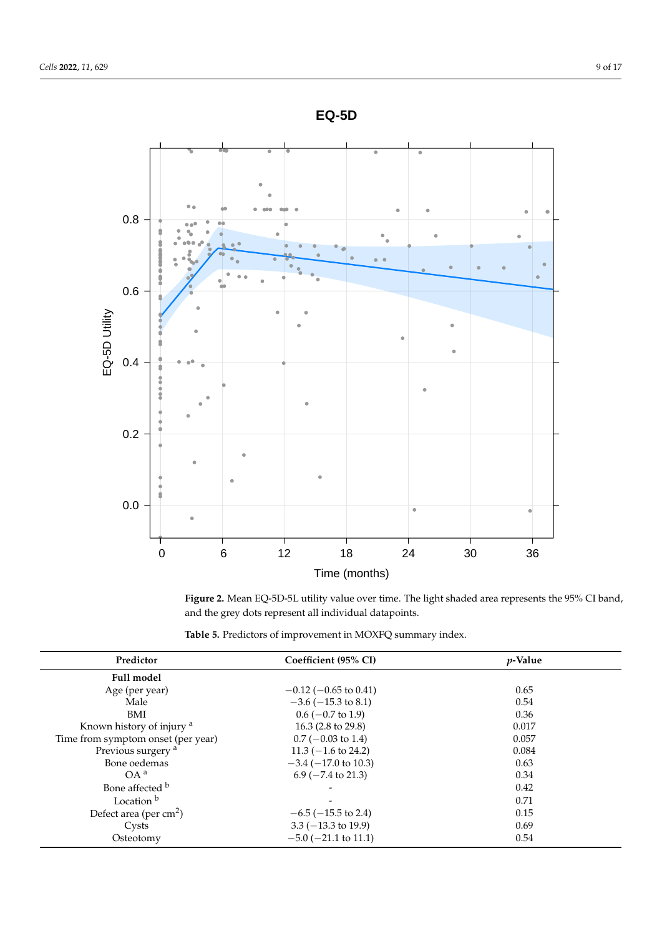<span id="page-8-0"></span>

and the grey dots represent all individual datapoints. and the grey dots represent all individual datapoints. **Figure 2.** Mean EQ-5D-5L utility value over time. The light shaded area represents the 95% CI band,

<span id="page-8-1"></span>

|  | Table 5. Predictors of improvement in MOXFQ summary index. |  |
|--|------------------------------------------------------------|--|
|--|------------------------------------------------------------|--|

| Predictor                            | Coefficient (95% CI)           | <i>p</i> -Value |  |
|--------------------------------------|--------------------------------|-----------------|--|
| <b>Full model</b>                    |                                |                 |  |
| Age (per year)                       | $-0.12$ ( $-0.65$ to 0.41)     | 0.65            |  |
| Male                                 | $-3.6$ ( $-15.3$ to 8.1)       | 0.54            |  |
| BMI                                  | $0.6$ (-0.7 to 1.9)            | 0.36            |  |
| Known history of injury <sup>a</sup> | 16.3 $(2.8 \text{ to } 29.8)$  | 0.017           |  |
| Time from symptom onset (per year)   | $0.7$ (-0.03 to 1.4)           | 0.057           |  |
| Previous surgery <sup>a</sup>        | $11.3 (-1.6 \text{ to } 24.2)$ | 0.084           |  |
| Bone oedemas                         | $-3.4$ ( $-17.0$ to 10.3)      | 0.63            |  |
| OA <sup>a</sup>                      | $6.9$ ( $-7.4$ to 21.3)        | 0.34            |  |
| Bone affected b                      |                                | 0.42            |  |
| Location <sup>b</sup>                |                                | 0.71            |  |
| Defect area (per $cm2$ )             | $-6.5$ ( $-15.5$ to 2.4)       | 0.15            |  |
| Cysts                                | $3.3 (-13.3 \text{ to } 19.9)$ | 0.69            |  |
| Osteotomy                            | $-5.0$ ( $-21.1$ to 11.1)      | 0.54            |  |
|                                      |                                |                 |  |

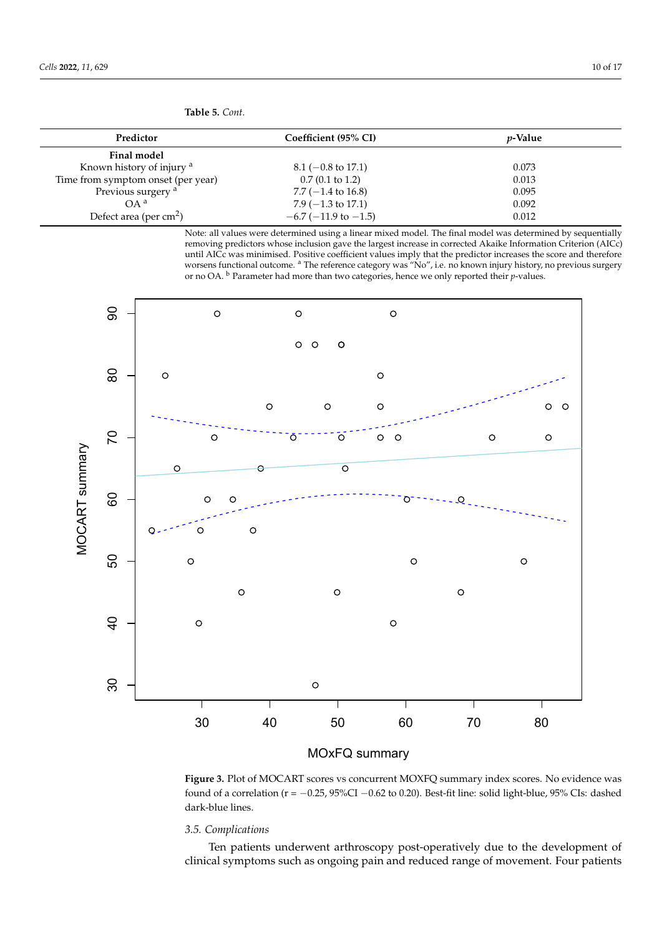| Predictor                            | Coefficient (95% CI)          | <i>p</i> -Value |
|--------------------------------------|-------------------------------|-----------------|
| <b>Final model</b>                   |                               |                 |
| Known history of injury <sup>a</sup> | $8.1 (-0.8 \text{ to } 17.1)$ | 0.073           |
| Time from symptom onset (per year)   | $0.7(0.1 \text{ to } 1.2)$    | 0.013           |
| Previous surgery <sup>a</sup>        | $7.7(-1.4 \text{ to } 16.8)$  | 0.095           |
| $OA^a$                               | $7.9(-1.3 \text{ to } 17.1)$  | 0.092           |
| Defect area (per $cm2$ )             | $-6.7$ ( $-11.9$ to $-1.5$ )  | 0.012           |

**Table 5.** *Cont.*

<span id="page-9-0"></span>Note: all values were determined using a linear mixed model. The final model was determined by sequentially removing predictors whose inclusion gave the largest increase in corrected Akaike Information Criterion (AICc) until AICc was minimised. Positive coefficient values imply that the predictor increases the score and therefore worsens functional outcome. <sup>a</sup> The reference category was "No", i.e. no known injury history, no previous surgery or no OA. <sup>b</sup> Parameter had more than two categories, hence we only reported their *p*-values.



found of a correlation (r = −0.25, 95%CI −0.62 to 0.20). Best-fit line: solid light-blue, 95% CIs: dashed dark-blue lines. Best-fit light-blue, 95%CI o.2000. Best-fit lines. Solid light-blue, 95% CIsi: dashed and 200 **Figure 3.** Plot of MOCART scores vs concurrent MOXFQ summary index scores. No evidence was

## *3.5. Complications*

Ten patients underwent arthroscopy post-operatively due to the development of clinical symptoms such as ongoing pain and reduced range of movement. Four patients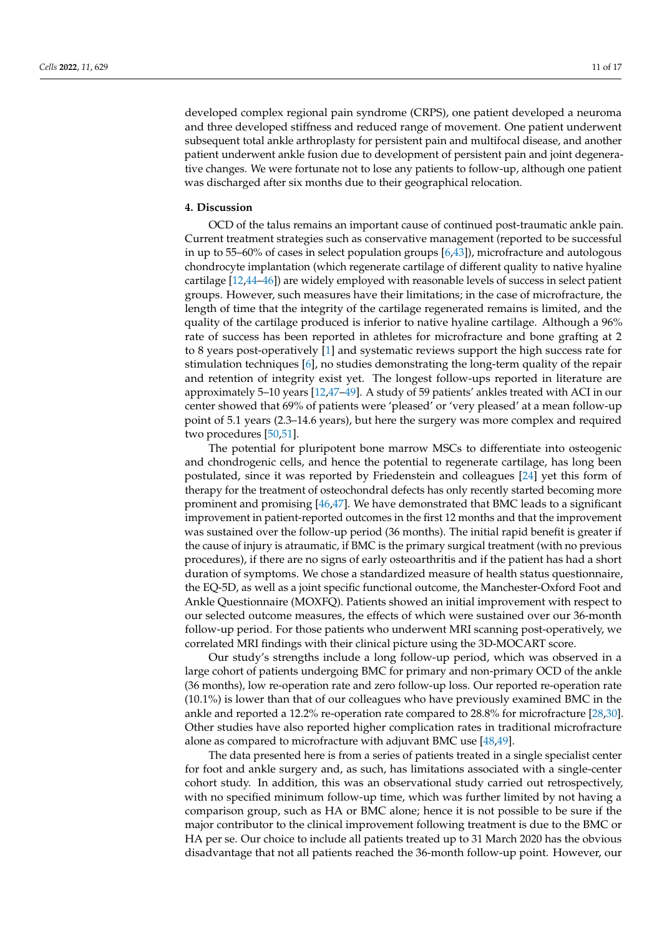developed complex regional pain syndrome (CRPS), one patient developed a neuroma and three developed stiffness and reduced range of movement. One patient underwent subsequent total ankle arthroplasty for persistent pain and multifocal disease, and another patient underwent ankle fusion due to development of persistent pain and joint degenerative changes. We were fortunate not to lose any patients to follow-up, although one patient was discharged after six months due to their geographical relocation.

## **4. Discussion**

OCD of the talus remains an important cause of continued post-traumatic ankle pain. Current treatment strategies such as conservative management (reported to be successful in up to 55–60% of cases in select population groups [\[6,](#page-14-5)[43\]](#page-16-7)), microfracture and autologous chondrocyte implantation (which regenerate cartilage of different quality to native hyaline cartilage [\[12](#page-15-3)[,44](#page-16-8)[–46\]](#page-16-9)) are widely employed with reasonable levels of success in select patient groups. However, such measures have their limitations; in the case of microfracture, the length of time that the integrity of the cartilage regenerated remains is limited, and the quality of the cartilage produced is inferior to native hyaline cartilage. Although a 96% rate of success has been reported in athletes for microfracture and bone grafting at 2 to 8 years post-operatively [\[1\]](#page-14-0) and systematic reviews support the high success rate for stimulation techniques [\[6\]](#page-14-5), no studies demonstrating the long-term quality of the repair and retention of integrity exist yet. The longest follow-ups reported in literature are approximately 5–10 years [\[12](#page-15-3)[,47](#page-16-10)[–49\]](#page-16-11). A study of 59 patients' ankles treated with ACI in our center showed that 69% of patients were 'pleased' or 'very pleased' at a mean follow-up point of 5.1 years (2.3–14.6 years), but here the surgery was more complex and required two procedures [\[50](#page-16-12)[,51\]](#page-16-13).

The potential for pluripotent bone marrow MSCs to differentiate into osteogenic and chondrogenic cells, and hence the potential to regenerate cartilage, has long been postulated, since it was reported by Friedenstein and colleagues [\[24\]](#page-15-15) yet this form of therapy for the treatment of osteochondral defects has only recently started becoming more prominent and promising [\[46](#page-16-9)[,47\]](#page-16-10). We have demonstrated that BMC leads to a significant improvement in patient-reported outcomes in the first 12 months and that the improvement was sustained over the follow-up period (36 months). The initial rapid benefit is greater if the cause of injury is atraumatic, if BMC is the primary surgical treatment (with no previous procedures), if there are no signs of early osteoarthritis and if the patient has had a short duration of symptoms. We chose a standardized measure of health status questionnaire, the EQ-5D, as well as a joint specific functional outcome, the Manchester-Oxford Foot and Ankle Questionnaire (MOXFQ). Patients showed an initial improvement with respect to our selected outcome measures, the effects of which were sustained over our 36-month follow-up period. For those patients who underwent MRI scanning post-operatively, we correlated MRI findings with their clinical picture using the 3D-MOCART score.

Our study's strengths include a long follow-up period, which was observed in a large cohort of patients undergoing BMC for primary and non-primary OCD of the ankle (36 months), low re-operation rate and zero follow-up loss. Our reported re-operation rate (10.1%) is lower than that of our colleagues who have previously examined BMC in the ankle and reported a 12.2% re-operation rate compared to 28.8% for microfracture [\[28,](#page-15-19)[30\]](#page-15-21). Other studies have also reported higher complication rates in traditional microfracture alone as compared to microfracture with adjuvant BMC use [\[48](#page-16-14)[,49\]](#page-16-11).

The data presented here is from a series of patients treated in a single specialist center for foot and ankle surgery and, as such, has limitations associated with a single-center cohort study. In addition, this was an observational study carried out retrospectively, with no specified minimum follow-up time, which was further limited by not having a comparison group, such as HA or BMC alone; hence it is not possible to be sure if the major contributor to the clinical improvement following treatment is due to the BMC or HA per se. Our choice to include all patients treated up to 31 March 2020 has the obvious disadvantage that not all patients reached the 36-month follow-up point. However, our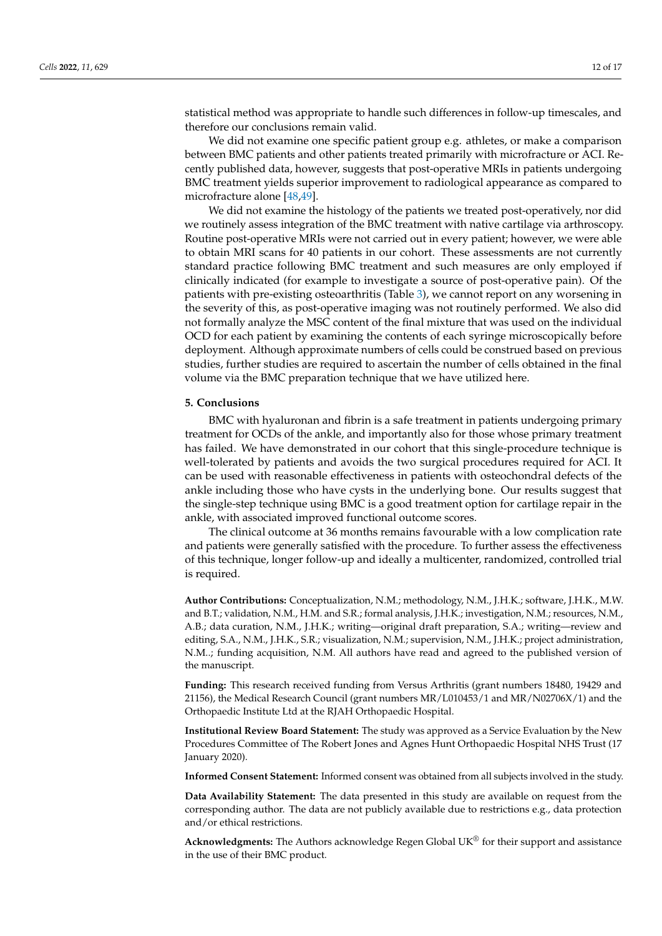statistical method was appropriate to handle such differences in follow-up timescales, and therefore our conclusions remain valid.

We did not examine one specific patient group e.g. athletes, or make a comparison between BMC patients and other patients treated primarily with microfracture or ACI. Recently published data, however, suggests that post-operative MRIs in patients undergoing BMC treatment yields superior improvement to radiological appearance as compared to microfracture alone [\[48](#page-16-14)[,49\]](#page-16-11).

We did not examine the histology of the patients we treated post-operatively, nor did we routinely assess integration of the BMC treatment with native cartilage via arthroscopy. Routine post-operative MRIs were not carried out in every patient; however, we were able to obtain MRI scans for 40 patients in our cohort. These assessments are not currently standard practice following BMC treatment and such measures are only employed if clinically indicated (for example to investigate a source of post-operative pain). Of the patients with pre-existing osteoarthritis (Table [3\)](#page-5-1), we cannot report on any worsening in the severity of this, as post-operative imaging was not routinely performed. We also did not formally analyze the MSC content of the final mixture that was used on the individual OCD for each patient by examining the contents of each syringe microscopically before deployment. Although approximate numbers of cells could be construed based on previous studies, further studies are required to ascertain the number of cells obtained in the final volume via the BMC preparation technique that we have utilized here.

## **5. Conclusions**

BMC with hyaluronan and fibrin is a safe treatment in patients undergoing primary treatment for OCDs of the ankle, and importantly also for those whose primary treatment has failed. We have demonstrated in our cohort that this single-procedure technique is well-tolerated by patients and avoids the two surgical procedures required for ACI. It can be used with reasonable effectiveness in patients with osteochondral defects of the ankle including those who have cysts in the underlying bone. Our results suggest that the single-step technique using BMC is a good treatment option for cartilage repair in the ankle, with associated improved functional outcome scores.

The clinical outcome at 36 months remains favourable with a low complication rate and patients were generally satisfied with the procedure. To further assess the effectiveness of this technique, longer follow-up and ideally a multicenter, randomized, controlled trial is required.

**Author Contributions:** Conceptualization, N.M.; methodology, N.M., J.H.K.; software, J.H.K., M.W. and B.T.; validation, N.M., H.M. and S.R.; formal analysis, J.H.K.; investigation, N.M.; resources, N.M., A.B.; data curation, N.M., J.H.K.; writing—original draft preparation, S.A.; writing—review and editing, S.A., N.M., J.H.K., S.R.; visualization, N.M.; supervision, N.M., J.H.K.; project administration, N.M..; funding acquisition, N.M. All authors have read and agreed to the published version of the manuscript.

**Funding:** This research received funding from Versus Arthritis (grant numbers 18480, 19429 and 21156), the Medical Research Council (grant numbers MR/L010453/1 and MR/N02706X/1) and the Orthopaedic Institute Ltd at the RJAH Orthopaedic Hospital.

**Institutional Review Board Statement:** The study was approved as a Service Evaluation by the New Procedures Committee of The Robert Jones and Agnes Hunt Orthopaedic Hospital NHS Trust (17 January 2020).

**Informed Consent Statement:** Informed consent was obtained from all subjects involved in the study.

**Data Availability Statement:** The data presented in this study are available on request from the corresponding author. The data are not publicly available due to restrictions e.g., data protection and/or ethical restrictions.

**Acknowledgments:** The Authors acknowledge Regen Global UK® for their support and assistance in the use of their BMC product.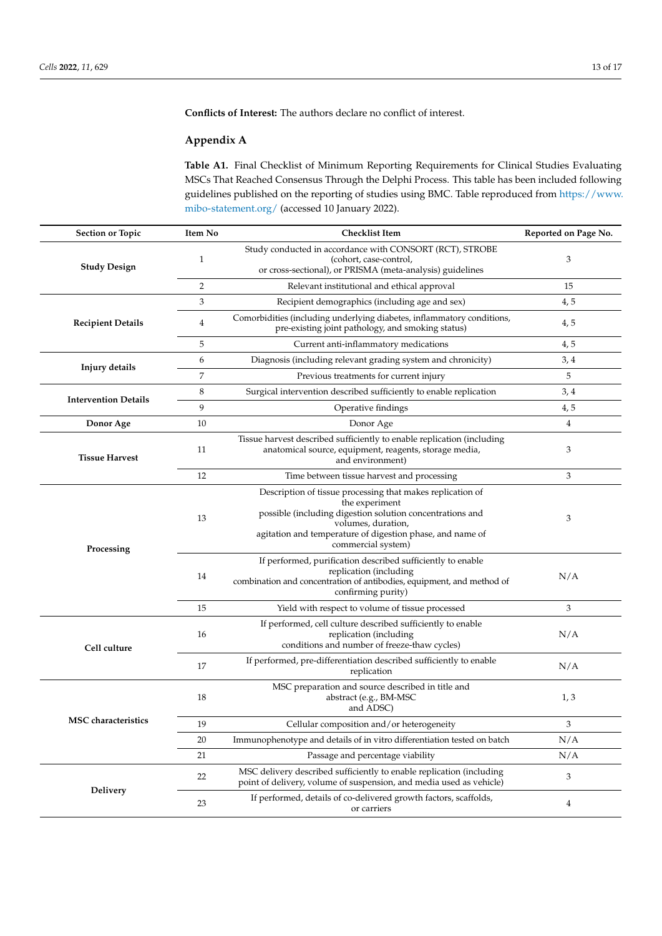**Conflicts of Interest:** The authors declare no conflict of interest.

## **Appendix A**

<span id="page-12-0"></span>**Table A1.** Final Checklist of Minimum Reporting Requirements for Clinical Studies Evaluating MSCs That Reached Consensus Through the Delphi Process. This table has been included following guidelines published on the reporting of studies using BMC. Table reproduced from [https://www.](https://www.mibo-statement.org/) [mibo-statement.org/](https://www.mibo-statement.org/) (accessed 10 January 2022).

| <b>Section or Topic</b>     | Item No        | <b>Checklist Item</b>                                                                                                                                                                                                                              | Reported on Page No. |
|-----------------------------|----------------|----------------------------------------------------------------------------------------------------------------------------------------------------------------------------------------------------------------------------------------------------|----------------------|
| <b>Study Design</b>         | 1              | Study conducted in accordance with CONSORT (RCT), STROBE<br>(cohort, case-control,<br>or cross-sectional), or PRISMA (meta-analysis) guidelines                                                                                                    | 3                    |
|                             | $\overline{2}$ | Relevant institutional and ethical approval                                                                                                                                                                                                        | 15                   |
|                             | 3              | Recipient demographics (including age and sex)                                                                                                                                                                                                     | 4, 5                 |
| <b>Recipient Details</b>    | 4              | Comorbidities (including underlying diabetes, inflammatory conditions,<br>pre-existing joint pathology, and smoking status)                                                                                                                        | 4, 5                 |
|                             | 5              | Current anti-inflammatory medications                                                                                                                                                                                                              | 4,5                  |
|                             | 6              | Diagnosis (including relevant grading system and chronicity)                                                                                                                                                                                       | 3, 4                 |
| Injury details              | 7              | Previous treatments for current injury                                                                                                                                                                                                             | 5                    |
|                             | 8              | Surgical intervention described sufficiently to enable replication                                                                                                                                                                                 | 3, 4                 |
| <b>Intervention Details</b> | 9              | Operative findings                                                                                                                                                                                                                                 | 4, 5                 |
| Donor Age                   | 10             | Donor Age                                                                                                                                                                                                                                          | $\overline{4}$       |
| <b>Tissue Harvest</b>       | 11             | Tissue harvest described sufficiently to enable replication (including<br>anatomical source, equipment, reagents, storage media,<br>and environment)                                                                                               | 3                    |
|                             | 12             | Time between tissue harvest and processing                                                                                                                                                                                                         | 3                    |
| Processing                  | 13             | Description of tissue processing that makes replication of<br>the experiment<br>possible (including digestion solution concentrations and<br>volumes, duration,<br>agitation and temperature of digestion phase, and name of<br>commercial system) | 3                    |
|                             | 14             | If performed, purification described sufficiently to enable<br>replication (including<br>combination and concentration of antibodies, equipment, and method of<br>confirming purity)                                                               | N/A                  |
|                             | 15             | Yield with respect to volume of tissue processed                                                                                                                                                                                                   | 3                    |
| Cell culture                | 16             | If performed, cell culture described sufficiently to enable<br>replication (including<br>conditions and number of freeze-thaw cycles)                                                                                                              | N/A                  |
|                             | 17             | If performed, pre-differentiation described sufficiently to enable<br>replication                                                                                                                                                                  | N/A                  |
| <b>MSC</b> characteristics  | 18             | MSC preparation and source described in title and<br>abstract (e.g., BM-MSC<br>and ADSC)                                                                                                                                                           | 1, 3                 |
|                             | 19             | Cellular composition and/or heterogeneity                                                                                                                                                                                                          | 3                    |
|                             | 20             | Immunophenotype and details of in vitro differentiation tested on batch                                                                                                                                                                            | N/A                  |
|                             | 21             | Passage and percentage viability                                                                                                                                                                                                                   | N/A                  |
|                             | 22             | MSC delivery described sufficiently to enable replication (including<br>point of delivery, volume of suspension, and media used as vehicle)                                                                                                        | 3                    |
| Delivery                    | 23             | If performed, details of co-delivered growth factors, scaffolds,<br>or carriers                                                                                                                                                                    | 4                    |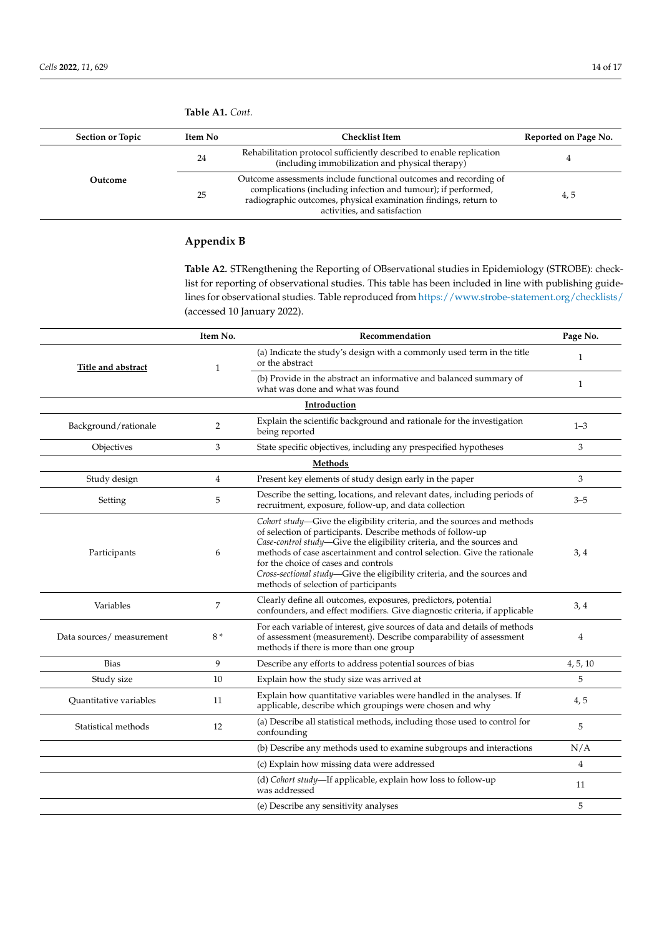| <b>Section or Topic</b> | Item No | <b>Checklist Item</b>                                                                                                                                                                                                                | Reported on Page No. |
|-------------------------|---------|--------------------------------------------------------------------------------------------------------------------------------------------------------------------------------------------------------------------------------------|----------------------|
|                         | 24      | Rehabilitation protocol sufficiently described to enable replication<br>(including immobilization and physical therapy)                                                                                                              |                      |
| Outcome                 | 25      | Outcome assessments include functional outcomes and recording of<br>complications (including infection and tumour); if performed,<br>radiographic outcomes, physical examination findings, return to<br>activities, and satisfaction | 4,5                  |

## **Table A1.** *Cont.*

# **Appendix B**

<span id="page-13-0"></span>**Table A2.** STRengthening the Reporting of OBservational studies in Epidemiology (STROBE): checklist for reporting of observational studies. This table has been included in line with publishing guidelines for observational studies. Table reproduced from <https://www.strobe-statement.org/checklists/> (accessed 10 January 2022).

|                           | Item No.       | Recommendation                                                                                                                                                                                                                                                                                                                                                                                                                                         | Page No.       |
|---------------------------|----------------|--------------------------------------------------------------------------------------------------------------------------------------------------------------------------------------------------------------------------------------------------------------------------------------------------------------------------------------------------------------------------------------------------------------------------------------------------------|----------------|
| Title and abstract        | $\mathbf{1}$   | (a) Indicate the study's design with a commonly used term in the title<br>or the abstract                                                                                                                                                                                                                                                                                                                                                              | $\mathbf{1}$   |
|                           |                | (b) Provide in the abstract an informative and balanced summary of<br>what was done and what was found                                                                                                                                                                                                                                                                                                                                                 | $\mathbf{1}$   |
|                           |                | Introduction                                                                                                                                                                                                                                                                                                                                                                                                                                           |                |
| Background/rationale      | $\overline{2}$ | Explain the scientific background and rationale for the investigation<br>being reported                                                                                                                                                                                                                                                                                                                                                                | $1 - 3$        |
| Objectives                | 3              | State specific objectives, including any prespecified hypotheses                                                                                                                                                                                                                                                                                                                                                                                       | 3              |
|                           |                | Methods                                                                                                                                                                                                                                                                                                                                                                                                                                                |                |
| Study design              | $\overline{4}$ | Present key elements of study design early in the paper                                                                                                                                                                                                                                                                                                                                                                                                | 3              |
| Setting                   | 5              | Describe the setting, locations, and relevant dates, including periods of<br>recruitment, exposure, follow-up, and data collection                                                                                                                                                                                                                                                                                                                     | $3 - 5$        |
| Participants              | 6              | Cohort study-Give the eligibility criteria, and the sources and methods<br>of selection of participants. Describe methods of follow-up<br>Case-control study-Give the eligibility criteria, and the sources and<br>methods of case ascertainment and control selection. Give the rationale<br>for the choice of cases and controls<br>Cross-sectional study-Give the eligibility criteria, and the sources and<br>methods of selection of participants | 3,4            |
| Variables                 | 7              | Clearly define all outcomes, exposures, predictors, potential<br>confounders, and effect modifiers. Give diagnostic criteria, if applicable                                                                                                                                                                                                                                                                                                            | 3, 4           |
| Data sources/ measurement | $8*$           | For each variable of interest, give sources of data and details of methods<br>of assessment (measurement). Describe comparability of assessment<br>methods if there is more than one group                                                                                                                                                                                                                                                             | 4              |
| <b>Bias</b>               | 9              | Describe any efforts to address potential sources of bias                                                                                                                                                                                                                                                                                                                                                                                              | 4, 5, 10       |
| Study size                | 10             | Explain how the study size was arrived at                                                                                                                                                                                                                                                                                                                                                                                                              | 5              |
| Quantitative variables    | 11             | Explain how quantitative variables were handled in the analyses. If<br>applicable, describe which groupings were chosen and why                                                                                                                                                                                                                                                                                                                        | 4, 5           |
| Statistical methods       | 12             | (a) Describe all statistical methods, including those used to control for<br>confounding                                                                                                                                                                                                                                                                                                                                                               | 5              |
|                           |                | (b) Describe any methods used to examine subgroups and interactions                                                                                                                                                                                                                                                                                                                                                                                    | N/A            |
|                           |                | (c) Explain how missing data were addressed                                                                                                                                                                                                                                                                                                                                                                                                            | $\overline{4}$ |
|                           |                | (d) Cohort study-If applicable, explain how loss to follow-up<br>was addressed                                                                                                                                                                                                                                                                                                                                                                         | 11             |
|                           |                | (e) Describe any sensitivity analyses                                                                                                                                                                                                                                                                                                                                                                                                                  | 5              |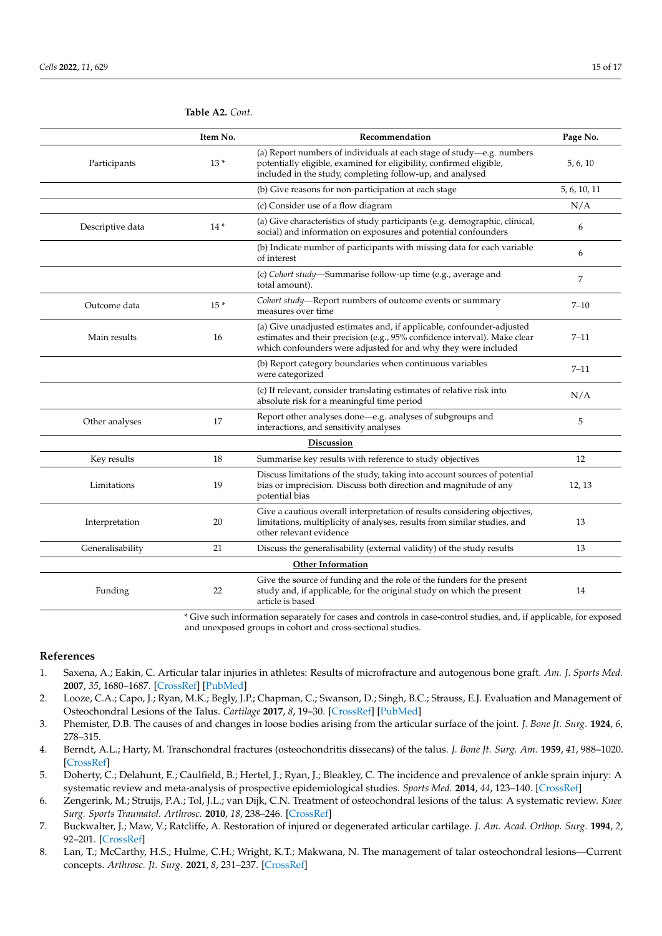|                  | Item No.                 | Recommendation                                                                                                                                                                                                       | Page No.     |  |
|------------------|--------------------------|----------------------------------------------------------------------------------------------------------------------------------------------------------------------------------------------------------------------|--------------|--|
| Participants     | $13*$                    | (a) Report numbers of individuals at each stage of study-e.g. numbers<br>potentially eligible, examined for eligibility, confirmed eligible,<br>included in the study, completing follow-up, and analysed            | 5, 6, 10     |  |
|                  |                          | (b) Give reasons for non-participation at each stage                                                                                                                                                                 | 5, 6, 10, 11 |  |
|                  |                          | (c) Consider use of a flow diagram                                                                                                                                                                                   | N/A          |  |
| Descriptive data | $14*$                    | (a) Give characteristics of study participants (e.g. demographic, clinical,<br>social) and information on exposures and potential confounders                                                                        | 6            |  |
|                  |                          | (b) Indicate number of participants with missing data for each variable<br>of interest                                                                                                                               | 6            |  |
|                  |                          | (c) Cohort study-Summarise follow-up time (e.g., average and<br>total amount).                                                                                                                                       | 7            |  |
| Outcome data     | $15*$                    | Cohort study-Report numbers of outcome events or summary<br>measures over time                                                                                                                                       | $7 - 10$     |  |
| Main results     | 16                       | (a) Give unadjusted estimates and, if applicable, confounder-adjusted<br>estimates and their precision (e.g., 95% confidence interval). Make clear<br>which confounders were adjusted for and why they were included | $7 - 11$     |  |
|                  |                          | (b) Report category boundaries when continuous variables<br>were categorized                                                                                                                                         | $7 - 11$     |  |
|                  |                          | (c) If relevant, consider translating estimates of relative risk into<br>absolute risk for a meaningful time period                                                                                                  | N/A          |  |
| Other analyses   | 17                       | Report other analyses done-e.g. analyses of subgroups and<br>interactions, and sensitivity analyses                                                                                                                  | 5            |  |
|                  |                          | <b>Discussion</b>                                                                                                                                                                                                    |              |  |
| Key results      | 18                       | Summarise key results with reference to study objectives                                                                                                                                                             | 12           |  |
| Limitations      | 19                       | Discuss limitations of the study, taking into account sources of potential<br>bias or imprecision. Discuss both direction and magnitude of any<br>potential bias                                                     | 12, 13       |  |
| Interpretation   | 20                       | Give a cautious overall interpretation of results considering objectives,<br>limitations, multiplicity of analyses, results from similar studies, and<br>other relevant evidence                                     | 13           |  |
| Generalisability | 21                       | Discuss the generalisability (external validity) of the study results                                                                                                                                                | 13           |  |
|                  | <b>Other Information</b> |                                                                                                                                                                                                                      |              |  |
| Funding          | 22                       | Give the source of funding and the role of the funders for the present<br>study and, if applicable, for the original study on which the present<br>article is based                                                  | 14           |  |

**Table A2.** *Cont.*

\* Give such information separately for cases and controls in case-control studies, and, if applicable, for exposed and unexposed groups in cohort and cross-sectional studies.

## **References**

- <span id="page-14-0"></span>1. Saxena, A.; Eakin, C. Articular talar injuries in athletes: Results of microfracture and autogenous bone graft. *Am. J. Sports Med.* **2007**, *35*, 1680–1687. [\[CrossRef\]](http://doi.org/10.1177/0363546507303561) [\[PubMed\]](http://www.ncbi.nlm.nih.gov/pubmed/17656737)
- <span id="page-14-1"></span>2. Looze, C.A.; Capo, J.; Ryan, M.K.; Begly, J.P.; Chapman, C.; Swanson, D.; Singh, B.C.; Strauss, E.J. Evaluation and Management of Osteochondral Lesions of the Talus. *Cartilage* **2017**, *8*, 19–30. [\[CrossRef\]](http://doi.org/10.1177/1947603516670708) [\[PubMed\]](http://www.ncbi.nlm.nih.gov/pubmed/27994717)
- <span id="page-14-2"></span>3. Phemister, D.B. The causes of and changes in loose bodies arising from the articular surface of the joint. *J. Bone Jt. Surg.* **1924**, *6*, 278–315.
- <span id="page-14-3"></span>4. Berndt, A.L.; Harty, M. Transchondral fractures (osteochondritis dissecans) of the talus. *J. Bone Jt. Surg. Am.* **1959**, *41*, 988–1020. [\[CrossRef\]](http://doi.org/10.2106/00004623-195941060-00002)
- <span id="page-14-4"></span>5. Doherty, C.; Delahunt, E.; Caulfield, B.; Hertel, J.; Ryan, J.; Bleakley, C. The incidence and prevalence of ankle sprain injury: A systematic review and meta-analysis of prospective epidemiological studies. *Sports Med.* **2014**, *44*, 123–140. [\[CrossRef\]](http://doi.org/10.1007/s40279-013-0102-5)
- <span id="page-14-5"></span>6. Zengerink, M.; Struijs, P.A.; Tol, J.L.; van Dijk, C.N. Treatment of osteochondral lesions of the talus: A systematic review. *Knee Surg. Sports Traumatol. Arthrosc.* **2010**, *18*, 238–246. [\[CrossRef\]](http://doi.org/10.1007/s00167-009-0942-6)
- <span id="page-14-6"></span>7. Buckwalter, J.; Maw, V.; Ratcliffe, A. Restoration of injured or degenerated articular cartilage. *J. Am. Acad. Orthop. Surg.* **1994**, *2*, 92–201. [\[CrossRef\]](http://doi.org/10.5435/00124635-199407000-00002)
- <span id="page-14-7"></span>8. Lan, T.; McCarthy, H.S.; Hulme, C.H.; Wright, K.T.; Makwana, N. The management of talar osteochondral lesions—Current concepts. *Arthrosc. Jt. Surg.* **2021**, *8*, 231–237. [\[CrossRef\]](http://doi.org/10.1016/j.jajs.2021.04.002)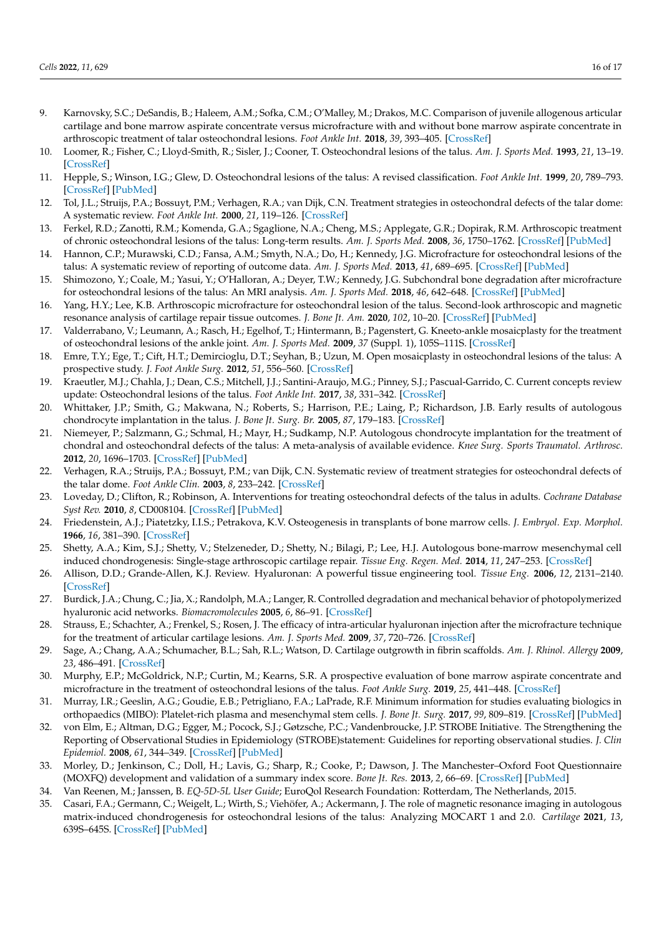- <span id="page-15-0"></span>9. Karnovsky, S.C.; DeSandis, B.; Haleem, A.M.; Sofka, C.M.; O'Malley, M.; Drakos, M.C. Comparison of juvenile allogenous articular cartilage and bone marrow aspirate concentrate versus microfracture with and without bone marrow aspirate concentrate in arthroscopic treatment of talar osteochondral lesions. *Foot Ankle Int.* **2018**, *39*, 393–405. [\[CrossRef\]](http://doi.org/10.1177/1071100717746627)
- <span id="page-15-1"></span>10. Loomer, R.; Fisher, C.; Lloyd-Smith, R.; Sisler, J.; Cooner, T. Osteochondral lesions of the talus. *Am. J. Sports Med.* **1993**, *21*, 13–19. [\[CrossRef\]](http://doi.org/10.1177/036354659302100103)
- <span id="page-15-2"></span>11. Hepple, S.; Winson, I.G.; Glew, D. Osteochondral lesions of the talus: A revised classification. *Foot Ankle Int.* **1999**, *20*, 789–793. [\[CrossRef\]](http://doi.org/10.1177/107110079902001206) [\[PubMed\]](http://www.ncbi.nlm.nih.gov/pubmed/10609707)
- <span id="page-15-3"></span>12. Tol, J.L.; Struijs, P.A.; Bossuyt, P.M.; Verhagen, R.A.; van Dijk, C.N. Treatment strategies in osteochondral defects of the talar dome: A systematic review. *Foot Ankle Int.* **2000**, *21*, 119–126. [\[CrossRef\]](http://doi.org/10.1177/107110070002100205)
- <span id="page-15-4"></span>13. Ferkel, R.D.; Zanotti, R.M.; Komenda, G.A.; Sgaglione, N.A.; Cheng, M.S.; Applegate, G.R.; Dopirak, R.M. Arthroscopic treatment of chronic osteochondral lesions of the talus: Long-term results. *Am. J. Sports Med.* **2008**, *36*, 1750–1762. [\[CrossRef\]](http://doi.org/10.1177/0363546508316773) [\[PubMed\]](http://www.ncbi.nlm.nih.gov/pubmed/18753679)
- <span id="page-15-5"></span>14. Hannon, C.P.; Murawski, C.D.; Fansa, A.M.; Smyth, N.A.; Do, H.; Kennedy, J.G. Microfracture for osteochondral lesions of the talus: A systematic review of reporting of outcome data. *Am. J. Sports Med.* **2013**, *41*, 689–695. [\[CrossRef\]](http://doi.org/10.1177/0363546512458218) [\[PubMed\]](http://www.ncbi.nlm.nih.gov/pubmed/22967827)
- <span id="page-15-6"></span>15. Shimozono, Y.; Coale, M.; Yasui, Y.; O'Halloran, A.; Deyer, T.W.; Kennedy, J.G. Subchondral bone degradation after microfracture for osteochondral lesions of the talus: An MRI analysis. *Am. J. Sports Med.* **2018**, *46*, 642–648. [\[CrossRef\]](http://doi.org/10.1177/0363546517739606) [\[PubMed\]](http://www.ncbi.nlm.nih.gov/pubmed/29144772)
- <span id="page-15-7"></span>16. Yang, H.Y.; Lee, K.B. Arthroscopic microfracture for osteochondral lesion of the talus. Second-look arthroscopic and magnetic resonance analysis of cartilage repair tissue outcomes. *J. Bone Jt. Am.* **2020**, *102*, 10–20. [\[CrossRef\]](http://doi.org/10.2106/JBJS.19.00208) [\[PubMed\]](http://www.ncbi.nlm.nih.gov/pubmed/31596800)
- <span id="page-15-8"></span>17. Valderrabano, V.; Leumann, A.; Rasch, H.; Egelhof, T.; Hintermann, B.; Pagenstert, G. Kneeto-ankle mosaicplasty for the treatment of osteochondral lesions of the ankle joint. *Am. J. Sports Med.* **2009**, *37* (Suppl. 1), 105S–111S. [\[CrossRef\]](http://doi.org/10.1177/0363546509351481)
- <span id="page-15-9"></span>18. Emre, T.Y.; Ege, T.; Cift, H.T.; Demircioglu, D.T.; Seyhan, B.; Uzun, M. Open mosaicplasty in osteochondral lesions of the talus: A prospective study. *J. Foot Ankle Surg.* **2012**, *51*, 556–560. [\[CrossRef\]](http://doi.org/10.1053/j.jfas.2012.05.006)
- <span id="page-15-10"></span>19. Kraeutler, M.J.; Chahla, J.; Dean, C.S.; Mitchell, J.J.; Santini-Araujo, M.G.; Pinney, S.J.; Pascual-Garrido, C. Current concepts review update: Osteochondral lesions of the talus. *Foot Ankle Int.* **2017**, *38*, 331–342. [\[CrossRef\]](http://doi.org/10.1177/1071100716677746)
- <span id="page-15-11"></span>20. Whittaker, J.P.; Smith, G.; Makwana, N.; Roberts, S.; Harrison, P.E.; Laing, P.; Richardson, J.B. Early results of autologous chondrocyte implantation in the talus. *J. Bone Jt. Surg. Br.* **2005**, *87*, 179–183. [\[CrossRef\]](http://doi.org/10.1302/0301-620X.87B2.15376)
- <span id="page-15-12"></span>21. Niemeyer, P.; Salzmann, G.; Schmal, H.; Mayr, H.; Sudkamp, N.P. Autologous chondrocyte implantation for the treatment of chondral and osteochondral defects of the talus: A meta-analysis of available evidence. *Knee Surg. Sports Traumatol. Arthrosc.* **2012**, *20*, 1696–1703. [\[CrossRef\]](http://doi.org/10.1007/s00167-011-1729-0) [\[PubMed\]](http://www.ncbi.nlm.nih.gov/pubmed/22037894)
- <span id="page-15-14"></span>22. Verhagen, R.A.; Struijs, P.A.; Bossuyt, P.M.; van Dijk, C.N. Systematic review of treatment strategies for osteochondral defects of the talar dome. *Foot Ankle Clin.* **2003**, *8*, 233–242. [\[CrossRef\]](http://doi.org/10.1016/S1083-7515(02)00064-5)
- <span id="page-15-13"></span>23. Loveday, D.; Clifton, R.; Robinson, A. Interventions for treating osteochondral defects of the talus in adults. *Cochrane Database Syst Rev.* **2010**, *8*, CD008104. [\[CrossRef\]](http://doi.org/10.1002/14651858.CD008104.pub2) [\[PubMed\]](http://www.ncbi.nlm.nih.gov/pubmed/20687094)
- <span id="page-15-15"></span>24. Friedenstein, A.J.; Piatetzky, I.I.S.; Petrakova, K.V. Osteogenesis in transplants of bone marrow cells. *J. Embryol. Exp. Morphol.* **1966**, *16*, 381–390. [\[CrossRef\]](http://doi.org/10.1242/dev.16.3.381)
- <span id="page-15-16"></span>25. Shetty, A.A.; Kim, S.J.; Shetty, V.; Stelzeneder, D.; Shetty, N.; Bilagi, P.; Lee, H.J. Autologous bone-marrow mesenchymal cell induced chondrogenesis: Single-stage arthroscopic cartilage repair. *Tissue Eng. Regen. Med.* **2014**, *11*, 247–253. [\[CrossRef\]](http://doi.org/10.1007/s13770-014-0061-4)
- <span id="page-15-17"></span>26. Allison, D.D.; Grande-Allen, K.J. Review. Hyaluronan: A powerful tissue engineering tool. *Tissue Eng.* **2006**, *12*, 2131–2140. [\[CrossRef\]](http://doi.org/10.1089/ten.2006.12.2131)
- <span id="page-15-18"></span>27. Burdick, J.A.; Chung, C.; Jia, X.; Randolph, M.A.; Langer, R. Controlled degradation and mechanical behavior of photopolymerized hyaluronic acid networks. *Biomacromolecules* **2005**, *6*, 86–91. [\[CrossRef\]](http://doi.org/10.1021/bm049508a)
- <span id="page-15-19"></span>28. Strauss, E.; Schachter, A.; Frenkel, S.; Rosen, J. The efficacy of intra-articular hyaluronan injection after the microfracture technique for the treatment of articular cartilage lesions. *Am. J. Sports Med.* **2009**, *37*, 720–726. [\[CrossRef\]](http://doi.org/10.1177/0363546508328415)
- <span id="page-15-20"></span>29. Sage, A.; Chang, A.A.; Schumacher, B.L.; Sah, R.L.; Watson, D. Cartilage outgrowth in fibrin scaffolds. *Am. J. Rhinol. Allergy* **2009**, *23*, 486–491. [\[CrossRef\]](http://doi.org/10.2500/ajra.2009.23.3347)
- <span id="page-15-21"></span>30. Murphy, E.P.; McGoldrick, N.P.; Curtin, M.; Kearns, S.R. A prospective evaluation of bone marrow aspirate concentrate and microfracture in the treatment of osteochondral lesions of the talus. *Foot Ankle Surg.* **2019**, *25*, 441–448. [\[CrossRef\]](http://doi.org/10.1016/j.fas.2018.02.011)
- <span id="page-15-22"></span>31. Murray, I.R.; Geeslin, A.G.; Goudie, E.B.; Petrigliano, F.A.; LaPrade, R.F. Minimum information for studies evaluating biologics in orthopaedics (MIBO): Platelet-rich plasma and mesenchymal stem cells. *J. Bone Jt. Surg.* **2017**, *99*, 809–819. [\[CrossRef\]](http://doi.org/10.2106/JBJS.16.00793) [\[PubMed\]](http://www.ncbi.nlm.nih.gov/pubmed/28509821)
- <span id="page-15-23"></span>32. von Elm, E.; Altman, D.G.; Egger, M.; Pocock, S.J.; Gøtzsche, P.C.; Vandenbroucke, J.P. STROBE Initiative. The Strengthening the Reporting of Observational Studies in Epidemiology (STROBE)statement: Guidelines for reporting observational studies. *J. Clin Epidemiol.* **2008**, *61*, 344–349. [\[CrossRef\]](http://doi.org/10.1016/j.jclinepi.2007.11.008) [\[PubMed\]](http://www.ncbi.nlm.nih.gov/pubmed/18313558)
- <span id="page-15-24"></span>33. Morley, D.; Jenkinson, C.; Doll, H.; Lavis, G.; Sharp, R.; Cooke, P.; Dawson, J. The Manchester–Oxford Foot Questionnaire (MOXFQ) development and validation of a summary index score. *Bone Jt. Res.* **2013**, *2*, 66–69. [\[CrossRef\]](http://doi.org/10.1302/2046-3758.24.2000147) [\[PubMed\]](http://www.ncbi.nlm.nih.gov/pubmed/23673374)
- <span id="page-15-25"></span>34. Van Reenen, M.; Janssen, B. *EQ-5D-5L User Guide*; EuroQol Research Foundation: Rotterdam, The Netherlands, 2015.
- <span id="page-15-26"></span>35. Casari, F.A.; Germann, C.; Weigelt, L.; Wirth, S.; Viehöfer, A.; Ackermann, J. The role of magnetic resonance imaging in autologous matrix-induced chondrogenesis for osteochondral lesions of the talus: Analyzing MOCART 1 and 2.0. *Cartilage* **2021**, *13*, 639S–645S. [\[CrossRef\]](http://doi.org/10.1177/1947603520946382) [\[PubMed\]](http://www.ncbi.nlm.nih.gov/pubmed/32741215)